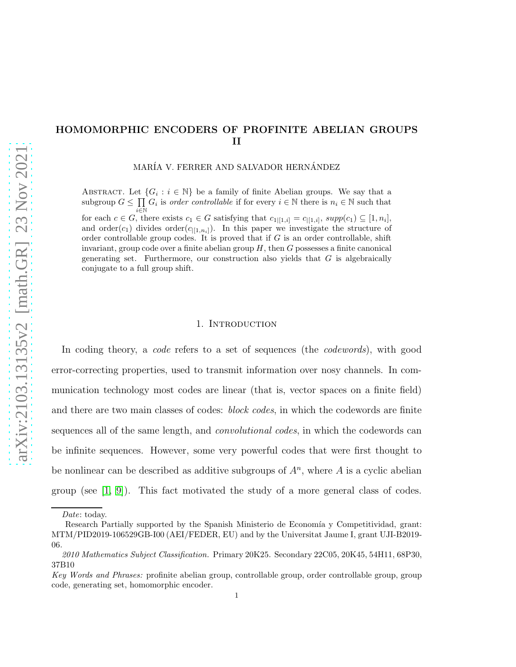# HOMOMORPHIC ENCODERS OF PROFINITE ABELIAN GROUPS II

MARÍA V. FERRER AND SALVADOR HERNÁNDEZ

ABSTRACT. Let  $\{G_i : i \in \mathbb{N}\}\$ be a family of finite Abelian groups. We say that a subgroup  $G \leq \prod G_i$  is *order controllable* if for every  $i \in \mathbb{N}$  there is  $n_i \in \mathbb{N}$  such that  $\bar{i}$ ∈ $\bar{\mathbb{N}}$ for each  $c \in G$ , there exists  $c_1 \in G$  satisfying that  $c_{1|[1,i]} = c_{|[1,i]}, supp(c_1) \subseteq [1,n_i],$ and order(c<sub>1</sub>) divides order(c<sub>[[1,n<sub>i</sub>]). In this paper we investigate the structure of</sub> order controllable group codes. It is proved that if  $G$  is an order controllable, shift invariant, group code over a finite abelian group  $H$ , then  $G$  possesses a finite canonical generating set. Furthermore, our construction also yields that  $G$  is algebraically conjugate to a full group shift.

### 1. Introduction

In coding theory, a *code* refers to a set of sequences (the *codewords*), with good error-correcting properties, used to transmit information over nosy channels. In communication technology most codes are linear (that is, vector spaces on a finite field) and there are two main classes of codes: *block codes*, in which the codewords are finite sequences all of the same length, and *convolutional codes*, in which the codewords can be infinite sequences. However, some very powerful codes that were first thought to be nonlinear can be described as additive subgroups of  $A<sup>n</sup>$ , where A is a cyclic abelian group (see  $[1, 9]$  $[1, 9]$ ). This fact motivated the study of a more general class of codes.

Date: today.

Research Partially supported by the Spanish Ministerio de Economía y Competitividad, grant: MTM/PID2019-106529GB-I00 (AEI/FEDER, EU) and by the Universitat Jaume I, grant UJI-B2019- 06.

<sup>2010</sup> Mathematics Subject Classification. Primary 20K25. Secondary 22C05, 20K45, 54H11, 68P30, 37B10

Key Words and Phrases: profinite abelian group, controllable group, order controllable group, group code, generating set, homomorphic encoder.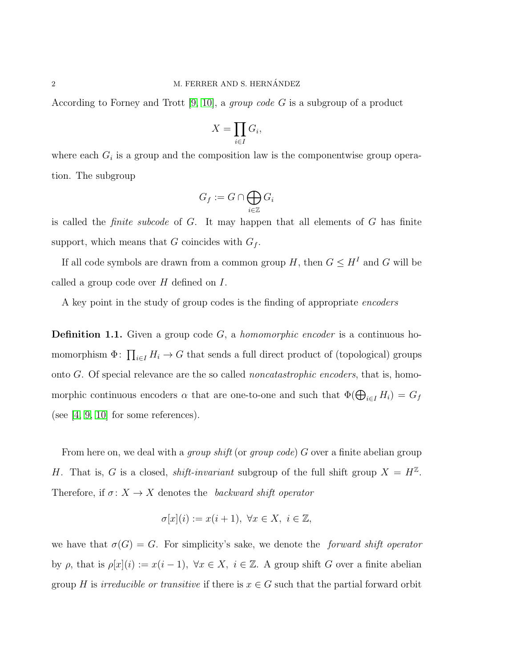According to Forney and Trott [\[9,](#page-16-1) [10\]](#page-16-2), a *group code* G is a subgroup of a product

$$
X = \prod_{i \in I} G_i,
$$

where each  $G_i$  is a group and the composition law is the componentwise group operation. The subgroup

$$
G_f := G \cap \bigoplus_{i \in \mathbb{Z}} G_i
$$

is called the *finite subcode* of G. It may happen that all elements of G has finite support, which means that G coincides with  $G_f$ .

If all code symbols are drawn from a common group H, then  $G \leq H^I$  and G will be called a group code over  $H$  defined on  $I$ .

A key point in the study of group codes is the finding of appropriate *encoders*

Definition 1.1. Given a group code G, a *homomorphic encoder* is a continuous homomorphism  $\Phi$ :  $\prod_{i\in I} H_i \to G$  that sends a full direct product of (topological) groups onto G. Of special relevance are the so called *noncatastrophic encoders*, that is, homomorphic continuous encoders  $\alpha$  that are one-to-one and such that  $\Phi(\bigoplus_{i\in I} H_i) = G_f$ (see  $[4, 9, 10]$  $[4, 9, 10]$  $[4, 9, 10]$  for some references).

From here on, we deal with a *group shift* (or *group code*) G over a finite abelian group H. That is, G is a closed, *shift-invariant* subgroup of the full shift group  $X = H^{\mathbb{Z}}$ . Therefore, if  $\sigma: X \to X$  denotes the *backward shift operator* 

$$
\sigma[x](i) := x(i+1), \ \forall x \in X, \ i \in \mathbb{Z},
$$

we have that  $\sigma(G) = G$ . For simplicity's sake, we denote the *forward shift operator* by  $\rho$ , that is  $\rho[x](i) := x(i-1)$ ,  $\forall x \in X$ ,  $i \in \mathbb{Z}$ . A group shift G over a finite abelian group H is *irreducible or transitive* if there is  $x \in G$  such that the partial forward orbit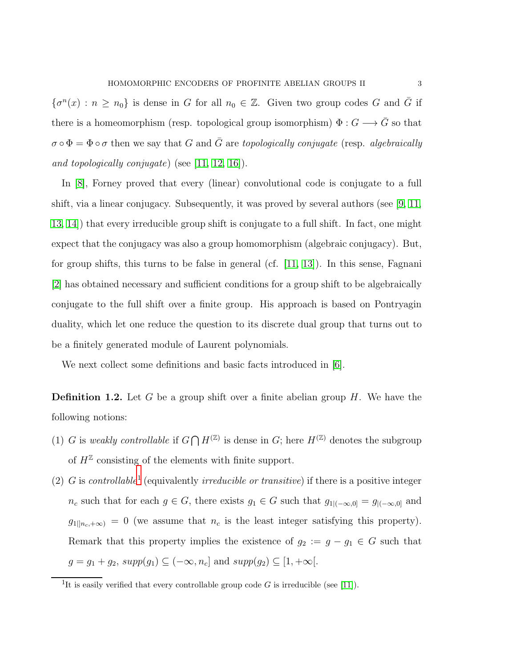$\{\sigma^n(x) : n \geq n_0\}$  is dense in G for all  $n_0 \in \mathbb{Z}$ . Given two group codes G and  $\overline{G}$  if there is a homeomorphism (resp. topological group isomorphism)  $\Phi: G \longrightarrow \overline{G}$  so that  $\sigma \circ \Phi = \Phi \circ \sigma$  then we say that G and  $\overline{G}$  are *topologically conjugate* (resp. *algebraically and topologically conjugate*) (see [\[11,](#page-16-4) [12,](#page-16-5) [16\]](#page-16-6)).

In [\[8\]](#page-16-7), Forney proved that every (linear) convolutional code is conjugate to a full shift, via a linear conjugacy. Subsequently, it was proved by several authors (see [\[9,](#page-16-1) [11,](#page-16-4) [13,](#page-16-8) [14\]](#page-16-9)) that every irreducible group shift is conjugate to a full shift. In fact, one might expect that the conjugacy was also a group homomorphism (algebraic conjugacy). But, for group shifts, this turns to be false in general (cf.  $[11, 13]$  $[11, 13]$ ). In this sense, Fagnani [\[2\]](#page-16-10) has obtained necessary and sufficient conditions for a group shift to be algebraically conjugate to the full shift over a finite group. His approach is based on Pontryagin duality, which let one reduce the question to its discrete dual group that turns out to be a finitely generated module of Laurent polynomials.

We next collect some definitions and basic facts introduced in [\[6\]](#page-16-11).

**Definition 1.2.** Let G be a group shift over a finite abelian group  $H$ . We have the following notions:

- (1) G is weakly controllable if  $G \bigcap H^{(\mathbb{Z})}$  is dense in G; here  $H^{(\mathbb{Z})}$  denotes the subgroup of  $H^{\mathbb{Z}}$  consisting of the elements with finite support.
- (2) G is *controllable*[1](#page-2-0) (equivalently *irreducible or transitive*) if there is a positive integer  $n_c$  such that for each  $g \in G$ , there exists  $g_1 \in G$  such that  $g_{1|(-\infty,0]} = g_{|(-\infty,0]}$  and  $g_{1|n_c,+\infty)} = 0$  (we assume that  $n_c$  is the least integer satisfying this property). Remark that this property implies the existence of  $g_2 := g - g_1 \in G$  such that  $g = g_1 + g_2$ ,  $supp(g_1) \subseteq (-\infty, n_c]$  and  $supp(g_2) \subseteq [1, +\infty]$ .

<span id="page-2-0"></span><sup>&</sup>lt;sup>1</sup>It is easily verified that every controllable group code G is irreducible (see [\[11\]](#page-16-4)).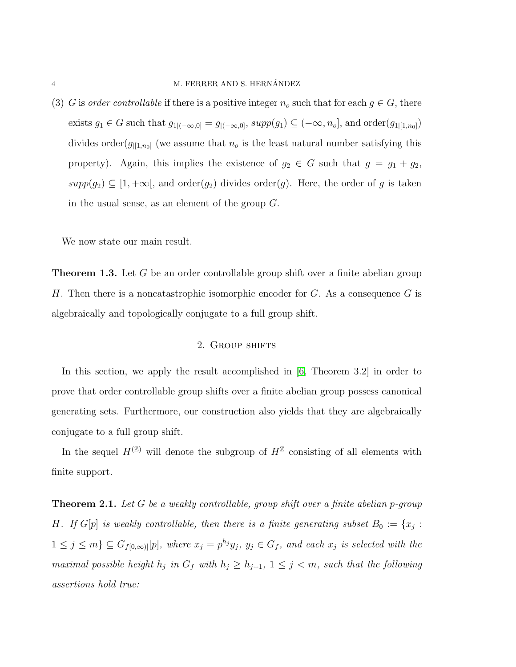### 4 M. FERRER AND S. HERNÁNDEZ

(3) G is *order controllable* if there is a positive integer  $n_o$  such that for each  $g \in G$ , there exists  $g_1 \in G$  such that  $g_{1|(-\infty,0]} = g_{|(-\infty,0]}, supp(g_1) \subseteq (-\infty,n_o],$  and  $order(g_{1|[1,n_0]})$ divides order( $g_{|[1,n_0]}$ ) (we assume that  $n_o$  is the least natural number satisfying this property). Again, this implies the existence of  $g_2 \in G$  such that  $g = g_1 + g_2$ ,  $supp(g_2) \subseteq [1, +\infty],$  and order $(g_2)$  divides order $(g)$ . Here, the order of g is taken in the usual sense, as an element of the group G.

We now state our main result.

<span id="page-3-1"></span>**Theorem 1.3.** Let G be an order controllable group shift over a finite abelian group H. Then there is a noncatastrophic isomorphic encoder for  $G$ . As a consequence  $G$  is algebraically and topologically conjugate to a full group shift.

## 2. GROUP SHIFTS

In this section, we apply the result accomplished in [\[6,](#page-16-11) Theorem 3.2] in order to prove that order controllable group shifts over a finite abelian group possess canonical generating sets. Furthermore, our construction also yields that they are algebraically conjugate to a full group shift.

In the sequel  $H^{(\mathbb{Z})}$  will denote the subgroup of  $H^{\mathbb{Z}}$  consisting of all elements with finite support.

<span id="page-3-0"></span>Theorem 2.1. *Let* G *be a weakly controllable, group shift over a finite abelian* p*-group H.* If  $G[p]$  is weakly controllable, then there is a finite generating subset  $B_0 := \{x_j :$  $1 \leq j \leq m$ }  $\subseteq G_{f[0,\infty)}[p]$ *, where*  $x_j = p^{h_j}y_j$ *,*  $y_j \in G_f$ *, and each*  $x_j$  *is selected with the maximal possible height*  $h_j$  *in*  $G_f$  *with*  $h_j \geq h_{j+1}$ ,  $1 \leq j \leq m$ , such that the following *assertions hold true:*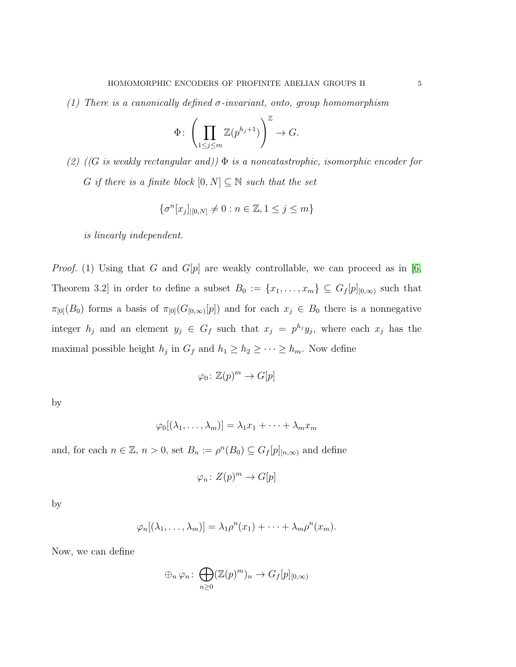*(1) There is a canonically defined* σ*-invariant, onto, group homomorphism*

$$
\Phi\colon \left(\prod_{1\leq j\leq m}\mathbb{Z}(p^{h_j+1})\right)^\mathbb{Z}\to G.
$$

*(2) ((*G *is weakly rectangular and))* Φ *is a noncatastrophic, isomorphic encoder for* G *if there is a finite block*  $[0, N] \subseteq \mathbb{N}$  *such that the set* 

$$
\{\sigma^n[x_j]_{|[0,N]}\neq 0 : n \in \mathbb{Z}, 1 \leq j \leq m\}
$$

*is linearly independent.*

*Proof.* (1) Using that G and  $G[p]$  are weakly controllable, we can proceed as in [\[6,](#page-16-11) Theorem 3.2] in order to define a subset  $B_0 := \{x_1, \ldots, x_m\} \subseteq G_f[p]_{[0,\infty)}$  such that  $\pi_{[0]}(B_0)$  forms a basis of  $\pi_{[0]}(G_{[0,\infty)}[p])$  and for each  $x_j \in B_0$  there is a nonnegative integer  $h_j$  and an element  $y_j \in G_f$  such that  $x_j = p^{h_j}y_j$ , where each  $x_j$  has the maximal possible height  $h_j$  in  $G_f$  and  $h_1 \geq h_2 \geq \cdots \geq h_m$ . Now define

$$
\varphi_0 \colon \mathbb{Z}(p)^m \to G[p]
$$

by

$$
\varphi_0[(\lambda_1,\ldots,\lambda_m)]=\lambda_1x_1+\cdots+\lambda_mx_m
$$

and, for each  $n \in \mathbb{Z}$ ,  $n > 0$ , set  $B_n := \rho^n(B_0) \subseteq G_f[p]_{[n,\infty)}$  and define

$$
\varphi_n \colon Z(p)^m \to G[p]
$$

by

$$
\varphi_n[(\lambda_1,\ldots,\lambda_m)]=\lambda_1\rho^n(x_1)+\cdots+\lambda_m\rho^n(x_m).
$$

Now, we can define

$$
\oplus_n \varphi_n \colon \bigoplus_{n \geq 0} (\mathbb{Z}(p)^m)_n \to G_f[p]_{[0,\infty)}
$$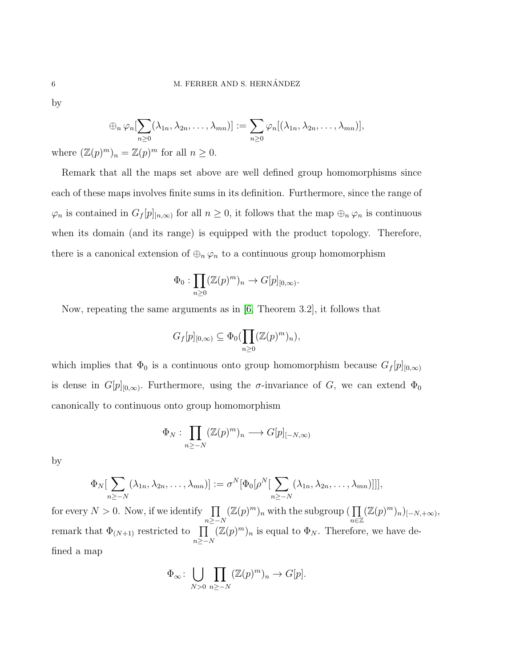by

$$
\bigoplus_{n \in \mathcal{P}_n} \varphi_n[\sum_{n \geq 0} (\lambda_{1n}, \lambda_{2n}, \ldots, \lambda_{mn})] := \sum_{n \geq 0} \varphi_n[(\lambda_{1n}, \lambda_{2n}, \ldots, \lambda_{mn})],
$$

where  $(\mathbb{Z}(p)^m)_n = \mathbb{Z}(p)^m$  for all  $n \geq 0$ .

Remark that all the maps set above are well defined group homomorphisms since each of these maps involves finite sums in its definition. Furthermore, since the range of  $\varphi_n$  is contained in  $G_f[p]_{[n,\infty)}$  for all  $n \geq 0$ , it follows that the map  $\bigoplus_n \varphi_n$  is continuous when its domain (and its range) is equipped with the product topology. Therefore, there is a canonical extension of  $\bigoplus_n \varphi_n$  to a continuous group homomorphism

$$
\Phi_0: \prod_{n\geq 0} (\mathbb{Z}(p)^m)_n \to G[p]_{[0,\infty)}.
$$

Now, repeating the same arguments as in [\[6,](#page-16-11) Theorem 3.2], it follows that

$$
G_f[p]_{[0,\infty)} \subseteq \Phi_0(\prod_{n\geq 0} (\mathbb{Z}(p)^m)_n),
$$

which implies that  $\Phi_0$  is a continuous onto group homomorphism because  $G_f[p]_{[0,\infty)}$ is dense in  $G[p]_{[0,\infty)}$ . Furthermore, using the  $\sigma$ -invariance of G, we can extend  $\Phi_0$ canonically to continuous onto group homomorphism

$$
\Phi_N: \prod_{n\geq -N} (\mathbb{Z}(p)^m)_n \longrightarrow G[p]_{[-N,\infty)}
$$

by

$$
\Phi_N[\sum_{n\geq -N}(\lambda_{1n},\lambda_{2n},\ldots,\lambda_{mn})]:=\sigma^N[\Phi_0[\rho^N[\sum_{n\geq -N}(\lambda_{1n},\lambda_{2n},\ldots,\lambda_{mn})]]],
$$

for every  $N > 0$ . Now, if we identify  $\prod$  $n \geq -N$  $(\mathbb{Z}(p)^m)_n$  with the subgroup ( $\prod$ n∈Z  $(\mathbb{Z}(p)^m)_n)_{[-N,+\infty)},$ remark that  $\Phi_{(N+1)}$  restricted to  $\prod$  $n \geq -N$  $(\mathbb{Z}(p)^m)_n$  is equal to  $\Phi_N$ . Therefore, we have defined a map

$$
\Phi_{\infty} \colon \bigcup_{N>0} \prod_{n\geq -N} (\mathbb{Z}(p)^m)_n \to G[p].
$$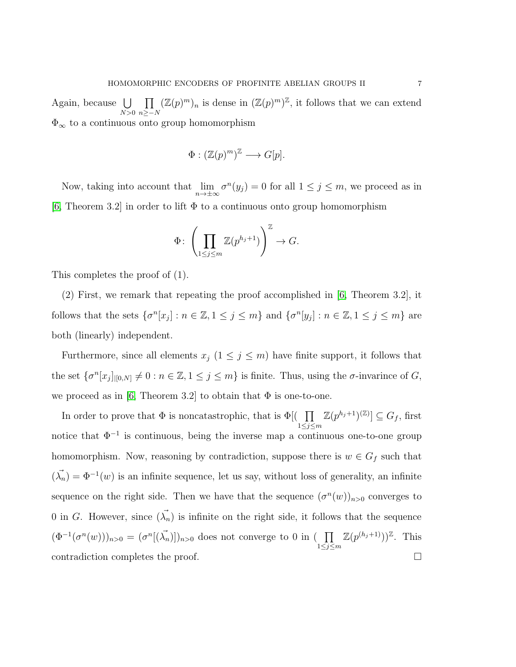Again, because  $\bigcup$  $N>0$  $\overline{\Pi}$  $n \geq -N$  $(\mathbb{Z}(p)^m)_n$  is dense in  $(\mathbb{Z}(p)^m)^{\mathbb{Z}}$ , it follows that we can extend  $\Phi_{\infty}$  to a continuous onto group homomorphism

$$
\Phi: (\mathbb{Z}(p)^m)^{\mathbb{Z}} \longrightarrow G[p].
$$

Now, taking into account that  $\lim_{n\to\pm\infty} \sigma^n(y_j) = 0$  for all  $1 \le j \le m$ , we proceed as in  $[6,$  Theorem 3.2 in order to lift  $\Phi$  to a continuous onto group homomorphism

$$
\Phi\colon \left(\prod_{1\leq j\leq m}\mathbb{Z}(p^{h_j+1})\right)^\mathbb{Z}\to G.
$$

This completes the proof of (1).

(2) First, we remark that repeating the proof accomplished in [\[6,](#page-16-11) Theorem 3.2], it follows that the sets  $\{\sigma^n[x_j]: n \in \mathbb{Z}, 1 \le j \le m\}$  and  $\{\sigma^n[y_j]: n \in \mathbb{Z}, 1 \le j \le m\}$  are both (linearly) independent.

Furthermore, since all elements  $x_j$   $(1 \leq j \leq m)$  have finite support, it follows that the set  $\{\sigma^n[x_j]_{|[0,N]}\neq 0 : n \in \mathbb{Z}, 1 \leq j \leq m\}$  is finite. Thus, using the  $\sigma$ -invarince of  $G$ , we proceed as in [\[6,](#page-16-11) Theorem 3.2] to obtain that  $\Phi$  is one-to-one.

In order to prove that  $\Phi$  is noncatastrophic, that is  $\Phi$ [( $\prod$  $1\leq j\leq m$  $\mathbb{Z}(p^{h_j+1})^{(\mathbb{Z})} \subseteq G_f$ , first notice that  $\Phi^{-1}$  is continuous, being the inverse map a continuous one-to-one group homomorphism. Now, reasoning by contradiction, suppose there is  $w \in G_f$  such that  $(\vec{\lambda}_n) = \Phi^{-1}(w)$  is an infinite sequence, let us say, without loss of generality, an infinite sequence on the right side. Then we have that the sequence  $(\sigma^n(w))_{n>0}$  converges to 0 in G. However, since  $(\vec{\lambda}_n)$  is infinite on the right side, it follows that the sequence  $(\Phi^{-1}(\sigma^n(w)))_{n>0} = (\sigma^n[(\vec{\lambda}_n)])_{n>0}$  does not converge to 0 in (  $\prod$  $1\leq j\leq m$  $\mathbb{Z}(p^{(h_j+1)}))^{\mathbb{Z}}$ . This contradiction completes the proof.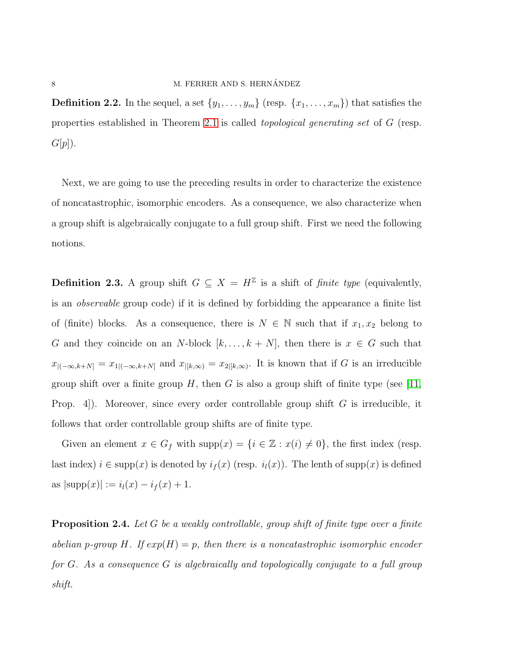**Definition 2.2.** In the sequel, a set  $\{y_1, \ldots, y_m\}$  (resp.  $\{x_1, \ldots, x_m\}$ ) that satisfies the properties established in Theorem [2.1](#page-3-0) is called *topological generating set* of G (resp.  $G[p]$ ).

Next, we are going to use the preceding results in order to characterize the existence of noncatastrophic, isomorphic encoders. As a consequence, we also characterize when a group shift is algebraically conjugate to a full group shift. First we need the following notions.

**Definition 2.3.** A group shift  $G \subseteq X = H^{\mathbb{Z}}$  is a shift of *finite type* (equivalently, is an *observable* group code) if it is defined by forbidding the appearance a finite list of (finite) blocks. As a consequence, there is  $N \in \mathbb{N}$  such that if  $x_1, x_2$  belong to G and they coincide on an N-block  $[k, \ldots, k + N]$ , then there is  $x \in G$  such that  $x_{[(-\infty,k+N]} = x_{1[(-\infty,k+N]}$  and  $x_{[k,\infty)} = x_{2[k,\infty)}$ . It is known that if G is an irreducible group shift over a finite group H, then G is also a group shift of finite type (see [\[11,](#page-16-4) Prop. 4.). Moreover, since every order controllable group shift  $G$  is irreducible, it follows that order controllable group shifts are of finite type.

Given an element  $x \in G_f$  with  $\text{supp}(x) = \{i \in \mathbb{Z} : x(i) \neq 0\}$ , the first index (resp. last index)  $i \in \text{supp}(x)$  is denoted by  $i_f(x)$  (resp.  $i_l(x)$ ). The lenth of supp $(x)$  is defined as  $|\text{supp}(x)| := i_l(x) - i_f(x) + 1.$ 

<span id="page-7-0"></span>Proposition 2.4. *Let* G *be a weakly controllable, group shift of finite type over a finite abelian* p-group H. If  $exp(H) = p$ , then there is a noncatastrophic isomorphic encoder *for* G*. As a consequence* G *is algebraically and topologically conjugate to a full group shift.*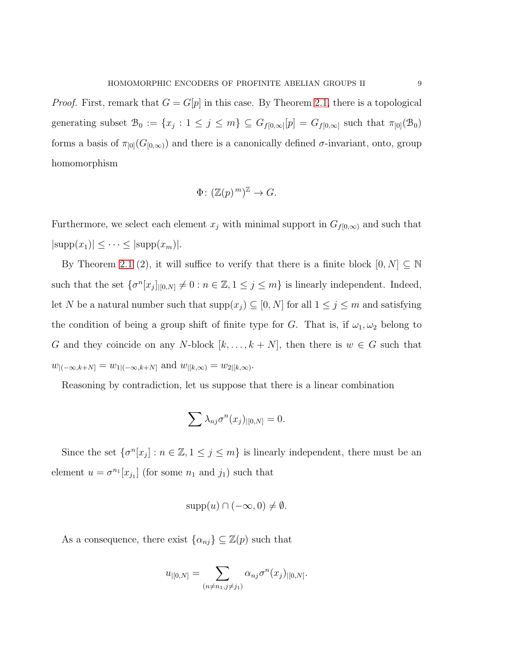*Proof.* First, remark that  $G = G[p]$  in this case. By Theorem [2.1,](#page-3-0) there is a topological generating subset  $\mathcal{B}_0 := \{x_j : 1 \leq j \leq m\} \subseteq G_{f[0,\infty]}[p] = G_{f[0,\infty]}$  such that  $\pi_{[0]}(\mathcal{B}_0)$ forms a basis of  $\pi_{[0]}(G_{[0,\infty)})$  and there is a canonically defined  $\sigma$ -invariant, onto, group homomorphism

$$
\Phi\colon (\mathbb{Z}(p)^m)^{\mathbb{Z}} \to G.
$$

Furthermore, we select each element  $x_j$  with minimal support in  $G_{f[0,\infty)}$  and such that  $|\text{supp}(x_1)| \leq \cdots \leq |\text{supp}(x_m)|.$ 

By Theorem [2.1](#page-3-0) (2), it will suffice to verify that there is a finite block  $[0, N] \subseteq \mathbb{N}$ such that the set  $\{\sigma^n[x_j]_{|[0,N]}\neq 0 : n \in \mathbb{Z}, 1 \leq j \leq m\}$  is linearly independent. Indeed, let N be a natural number such that  $\text{supp}(x_j) \subseteq [0, N]$  for all  $1 \le j \le m$  and satisfying the condition of being a group shift of finite type for G. That is, if  $\omega_1, \omega_2$  belong to G and they coincide on any N-block  $[k, \ldots, k+N]$ , then there is  $w \in G$  such that  $w_{|(-\infty,k+N]} = w_{1|(-\infty,k+N]}$  and  $w_{|[k,\infty)} = w_{2|[k,\infty)}$ .

Reasoning by contradiction, let us suppose that there is a linear combination

$$
\sum \lambda_{nj} \sigma^n(x_j)_{|[0,N]} = 0.
$$

Since the set  $\{\sigma^n[x_j] : n \in \mathbb{Z}, 1 \le j \le m\}$  is linearly independent, there must be an element  $u = \sigma^{n_1}[x_{j_1}]$  (for some  $n_1$  and  $j_1$ ) such that

$$
supp(u) \cap (-\infty, 0) \neq \emptyset.
$$

As a consequence, there exist  $\{\alpha_{nj}\}\subseteq \mathbb{Z}(p)$  such that

$$
u_{|[0,N]} = \sum_{(n \neq n_1, j \neq j_1)} \alpha_{nj} \sigma^n(x_j)_{|[0,N]}.
$$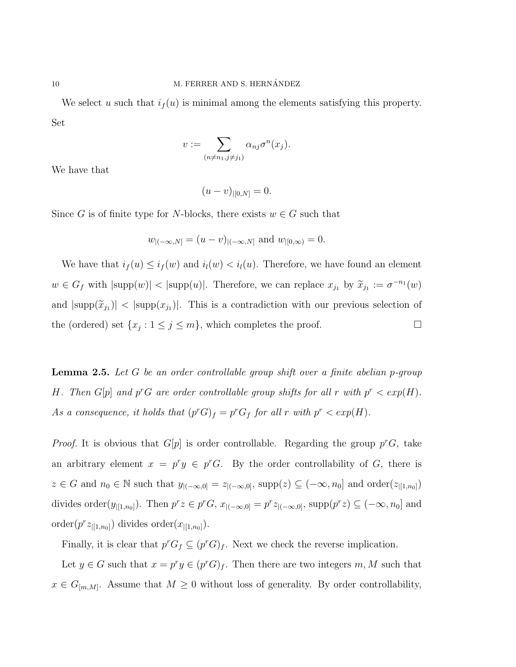We select u such that  $i_f(u)$  is minimal among the elements satisfying this property. Set

$$
v := \sum_{(n \neq n_1, j \neq j_1)} \alpha_{nj} \sigma^n(x_j).
$$

We have that

$$
(u-v)_{|[0,N]}=0.
$$

Since G is of finite type for N-blocks, there exists  $w \in G$  such that

$$
w_{|(-\infty,N]} = (u - v)_{|(-\infty,N]}
$$
 and  $w_{|[0,\infty)} = 0$ .

We have that  $i_f(u) \leq i_f(w)$  and  $i_l(w) < i_l(u)$ . Therefore, we have found an element  $w \in G_f$  with  $|\text{supp}(w)| < |\text{supp}(u)|$ . Therefore, we can replace  $x_{j_1}$  by  $\widetilde{x}_{j_1} := \sigma^{-n_1}(w)$ and  $|\text{supp}(\tilde{x}_{j_1})| < |\text{supp}(x_{j_1})|$ . This is a contradiction with our previous selection of the (ordered) set  $\{x_j : 1 \le j \le m\}$ , which completes the proof.

<span id="page-9-0"></span>Lemma 2.5. *Let* G *be an order controllable group shift over a finite abelian* p*-group* H. Then  $G[p]$  and  $p^rG$  are order controllable group shifts for all r with  $p^r < exp(H)$ . As a consequence, it holds that  $(p<sup>r</sup>G)<sub>f</sub> = p<sup>r</sup>G<sub>f</sub>$  for all r with  $p<sup>r</sup> < exp(H)$ .

*Proof.* It is obvious that  $G[p]$  is order controllable. Regarding the group  $p^rG$ , take an arbitrary element  $x = p^r y \in p^r G$ . By the order controllability of G, there is  $z \in G$  and  $n_0 \in \mathbb{N}$  such that  $y_{\vert(-\infty,0]} = z_{\vert(-\infty,0]}, \text{supp}(z) \subseteq (-\infty,n_0]$  and  $\text{order}(z_{\vert[1,n_0]})$ divides order( $y_{|[1,n_0]}$ ). Then  $p^r z \in p^r G$ ,  $x_{|(-\infty,0]} = p^r z_{|(-\infty,0]}$ ,  $\text{supp}(p^r z) \subseteq (-\infty,n_0]$  and order $(p^r z_{|[1,n_0]})$  divides order $(x_{|[1,n_0]})$ .

Finally, it is clear that  $p^r G_f \subseteq (p^r G)_f$ . Next we check the reverse implication.

Let  $y \in G$  such that  $x = p^r y \in (p^r G)_f$ . Then there are two integers  $m, M$  such that  $x \in G_{[m,M]}$ . Assume that  $M \geq 0$  without loss of generality. By order controllability,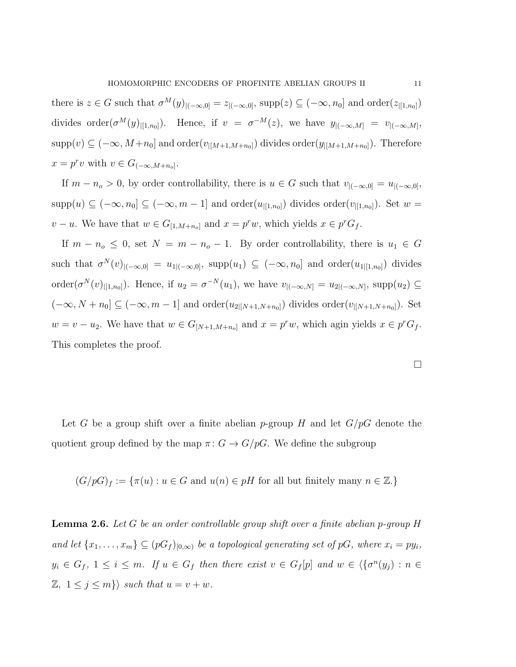there is  $z \in G$  such that  $\sigma^M(y)_{|(-\infty,0]} = z_{|(-\infty,0]}, \text{supp}(z) \subseteq (-\infty,n_0]$  and  $\text{order}(z_{|[1,n_0]})$ divides order $(\sigma^M(y)_{|[1,n_0]})$ . Hence, if  $v = \sigma^{-M}(z)$ , we have  $y_{|(-\infty,M]} = v_{|(-\infty,M]},$ supp $(v) \subseteq (-\infty, M+n_0]$  and order $(v_{|[M+1,M+n_0]})$  divides order $(y_{|[M+1,M+n_0]})$ . Therefore  $x = p^r v$  with  $v \in G_{(-\infty, M+n_o]}$ .

If  $m - n_o > 0$ , by order controllability, there is  $u \in G$  such that  $v_{|(-\infty,0]} = u_{|(-\infty,0]},$  $supp(u) \subseteq (-\infty, n_0] \subseteq (-\infty, m-1]$  and  $order(u_{|[1,n_0]})$  divides  $order(v_{|[1,n_0]})$ . Set  $w =$  $v - u$ . We have that  $w \in G_{[1,M+n_o]}$  and  $x = p^r w$ , which yields  $x \in p^r G_f$ .

If  $m - n_o \leq 0$ , set  $N = m - n_o - 1$ . By order controllability, there is  $u_1 \in G$ such that  $\sigma^N(v)_{|(-\infty,0]} = u_{1|(-\infty,0]}, \text{ supp}(u_1) \subseteq (-\infty,n_0]$  and  $\text{order}(u_{1|[1,n_0]})$  divides order $(\sigma^N(v)|_{[1,n_0]})$ . Hence, if  $u_2 = \sigma^{-N}(u_1)$ , we have  $v_{|(-\infty,N]} = u_{2|(-\infty,N]}$ , supp $(u_2) \subseteq$  $(-\infty, N + n_0] \subseteq (-\infty, m - 1]$  and order $(u_{2|[N+1,N+n_0]})$  divides order $(v_{|[N+1,N+n_0]})$ . Set  $w = v - u_2$ . We have that  $w \in G_{[N+1,M+n_0]}$  and  $x = p^r w$ , which agin yields  $x \in p^r G_f$ . This completes the proof.

Let G be a group shift over a finite abelian p-group H and let  $G/pG$  denote the quotient group defined by the map  $\pi: G \to G/pG$ . We define the subgroup

 $(G/pG)_f := \{ \pi(u) : u \in G \text{ and } u(n) \in pH \text{ for all but finitely many } n \in \mathbb{Z} \}.$ 

Lemma 2.6. *Let* G *be an order controllable group shift over a finite abelian* p*-group* H and let  $\{x_1, \ldots, x_m\} \subseteq (pG_f)_{[0,\infty)}$  be a topological generating set of pG, where  $x_i = py_i$ ,  $y_i \in G_f$ ,  $1 \leq i \leq m$ . If  $u \in G_f$  then there exist  $v \in G_f[p]$  and  $w \in \langle {\{\sigma^n(y_j) : n \in G_f\}} \rangle$  $\mathbb{Z}, \ 1 \leq j \leq m$ } *such that*  $u = v + w$ *.*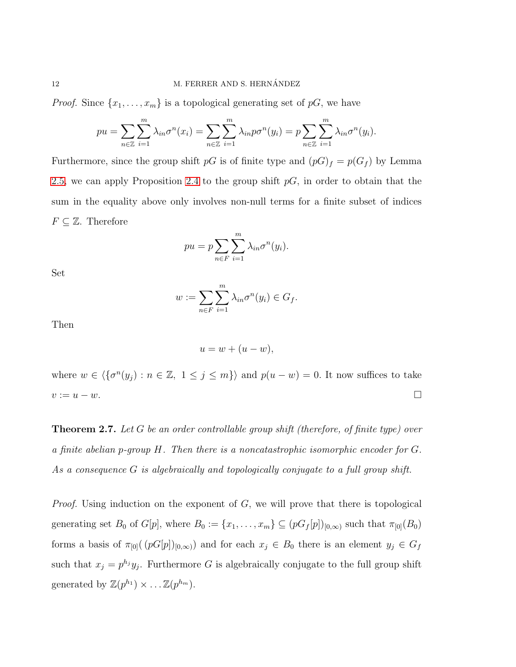*Proof.* Since  $\{x_1, \ldots, x_m\}$  is a topological generating set of pG, we have

$$
pu = \sum_{n \in \mathbb{Z}} \sum_{i=1}^{m} \lambda_{in} \sigma^{n}(x_i) = \sum_{n \in \mathbb{Z}} \sum_{i=1}^{m} \lambda_{in} p \sigma^{n}(y_i) = p \sum_{n \in \mathbb{Z}} \sum_{i=1}^{m} \lambda_{in} \sigma^{n}(y_i).
$$

Furthermore, since the group shift  $pG$  is of finite type and  $(pG)_f = p(G_f)$  by Lemma [2.5,](#page-9-0) we can apply Proposition [2.4](#page-7-0) to the group shift  $pG$ , in order to obtain that the sum in the equality above only involves non-null terms for a finite subset of indices  $F \subseteq \mathbb{Z}$ . Therefore

$$
pu = p \sum_{n \in F} \sum_{i=1}^{m} \lambda_{in} \sigma^n(y_i).
$$

Set

$$
w := \sum_{n \in F} \sum_{i=1}^m \lambda_{in} \sigma^n(y_i) \in G_f.
$$

Then

$$
u = w + (u - w),
$$

where  $w \in \langle {\{\sigma^n(y_j) : n \in \mathbb{Z}, 1 \leq j \leq m\}} \rangle$  and  $p(u - w) = 0$ . It now suffices to take  $v := u - w.$ 

<span id="page-11-0"></span>Theorem 2.7. *Let* G *be an order controllable group shift (therefore, of finite type) over a finite abelian* p*-group* H*. Then there is a noncatastrophic isomorphic encoder for* G*. As a consequence* G *is algebraically and topologically conjugate to a full group shift.*

*Proof.* Using induction on the exponent of G, we will prove that there is topological generating set  $B_0$  of  $G[p]$ , where  $B_0 := \{x_1, \ldots, x_m\} \subseteq (pG_f[p])_{[0,\infty)}$  such that  $\pi_{[0]}(B_0)$ forms a basis of  $\pi_{[0]}((pG[p])_{[0,\infty)})$  and for each  $x_j \in B_0$  there is an element  $y_j \in G_f$ such that  $x_j = p^{h_j} y_j$ . Furthermore G is algebraically conjugate to the full group shift generated by  $\mathbb{Z}(p^{h_1}) \times \ldots \mathbb{Z}(p^{h_m})$ .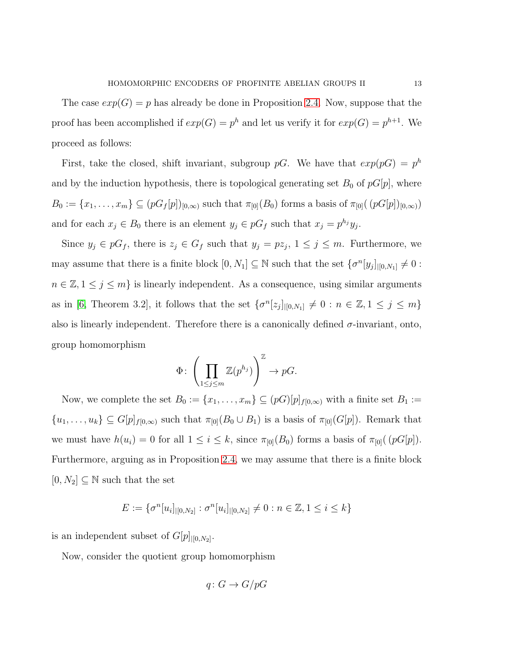The case  $exp(G) = p$  has already be done in Proposition [2.4.](#page-7-0) Now, suppose that the proof has been accomplished if  $exp(G) = p^h$  and let us verify it for  $exp(G) = p^{h+1}$ . We proceed as follows:

First, take the closed, shift invariant, subgroup pG. We have that  $exp(pG) = p<sup>h</sup>$ and by the induction hypothesis, there is topological generating set  $B_0$  of  $pG[p]$ , where  $B_0 := \{x_1, \ldots, x_m\} \subseteq (pG_f[p])_{[0,\infty)}$  such that  $\pi_{[0]}(B_0)$  forms a basis of  $\pi_{[0]}((pG[p])_{[0,\infty)})$ and for each  $x_j \in B_0$  there is an element  $y_j \in pG_f$  such that  $x_j = p^{h_j}y_j$ .

Since  $y_j \in pG_f$ , there is  $z_j \in G_f$  such that  $y_j = pz_j$ ,  $1 \le j \le m$ . Furthermore, we may assume that there is a finite block  $[0, N_1] \subseteq \mathbb{N}$  such that the set  $\{\sigma^n[y_j]_{|[0,N_1]}\neq 0:$  $n \in \mathbb{Z}, 1 \leq j \leq m$  is linearly independent. As a consequence, using similar arguments as in [\[6,](#page-16-11) Theorem 3.2], it follows that the set  $\{\sigma^n[z_j]_{|[0,N_1]}\neq 0 : n \in \mathbb{Z}, 1 \leq j \leq m\}$ also is linearly independent. Therefore there is a canonically defined  $\sigma$ -invariant, onto, group homomorphism

$$
\Phi\colon \left(\prod_{1\leq j\leq m}\mathbb{Z}(p^{h_j})\right)^{\mathbb{Z}}\to pG.
$$

Now, we complete the set  $B_0 := \{x_1, \ldots, x_m\} \subseteq (pG)[p]_{f[0,\infty)}$  with a finite set  $B_1 :=$  $\{u_1, \ldots, u_k\} \subseteq G[p]_{f[0,\infty)}$  such that  $\pi_{[0]}(B_0 \cup B_1)$  is a basis of  $\pi_{[0]}(G[p])$ . Remark that we must have  $h(u_i) = 0$  for all  $1 \leq i \leq k$ , since  $\pi_{[0]}(B_0)$  forms a basis of  $\pi_{[0]}([pG[p])$ . Furthermore, arguing as in Proposition [2.4,](#page-7-0) we may assume that there is a finite block  $[0, N_2] \subseteq \mathbb{N}$  such that the set

$$
E := \{ \sigma^n[u_i]_{|[0,N_2]} : \sigma^n[u_i]_{|[0,N_2]} \neq 0 : n \in \mathbb{Z}, 1 \leq i \leq k \}
$$

is an independent subset of  $G[p]_{|[0,N_2]}$ .

Now, consider the quotient group homomorphism

$$
q\colon G\to G/pG
$$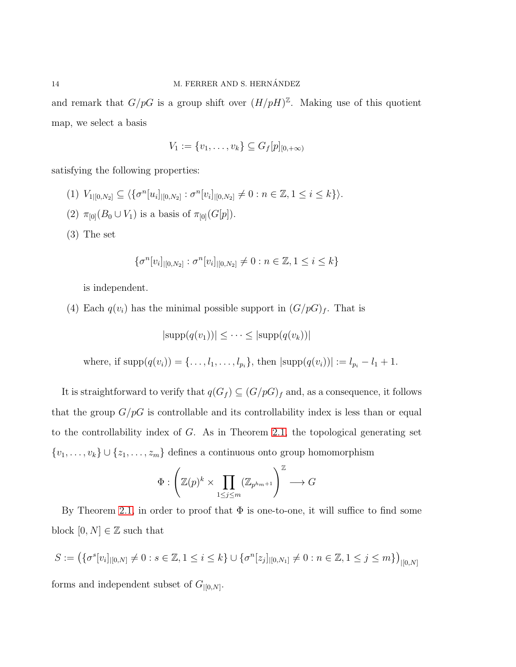and remark that  $G/pG$  is a group shift over  $(H/pH)^{\mathbb{Z}}$ . Making use of this quotient map, we select a basis

$$
V_1 := \{v_1, \ldots, v_k\} \subseteq G_f[p]_{[0, +\infty)}
$$

satisfying the following properties:

- (1)  $V_{1|[0,N_2]} \subseteq \langle \{\sigma^n[u_i]_{|[0,N_2]} : \sigma^n[v_i]_{|[0,N_2]} \neq 0 : n \in \mathbb{Z}, 1 \leq i \leq k \} \rangle.$
- (2)  $\pi_{[0]}(B_0 \cup V_1)$  is a basis of  $\pi_{[0]}(G[p])$ .
- (3) The set

$$
\{\sigma^n[v_i]_{|[0,N_2]} : \sigma^n[v_i]_{|[0,N_2]} \neq 0 : n \in \mathbb{Z}, 1 \leq i \leq k\}
$$

is independent.

(4) Each  $q(v_i)$  has the minimal possible support in  $(G/pG)_f$ . That is

 $|\text{supp}(q(v_1))| < \cdots < |\text{supp}(q(v_k))|$ 

where, if  $\text{supp}(q(v_i)) = \{ \ldots, l_1, \ldots, l_{p_i} \}, \text{ then } |\text{supp}(q(v_i))| := l_{p_i} - l_1 + 1.$ 

It is straightforward to verify that  $q(G_f)\subseteq (G/pG)_f$  and, as a consequence, it follows that the group  $G/pG$  is controllable and its controllability index is less than or equal to the controllability index of  $G$ . As in Theorem [2.1,](#page-3-0) the topological generating set  $\{v_1, \ldots, v_k\} \cup \{z_1, \ldots, z_m\}$  defines a continuous onto group homomorphism

$$
\Phi: \left(\mathbb{Z}(p)^k \times \prod_{1 \leq j \leq m} (\mathbb{Z}_{p^{h_m+1}})\right)^{\mathbb{Z}} \longrightarrow G
$$

By Theorem [2.1,](#page-3-0) in order to proof that  $\Phi$  is one-to-one, it will suffice to find some block  $[0, N] \in \mathbb{Z}$  such that

$$
S := (\{\sigma^s[v_i]_{|[0,N]} \neq 0 : s \in \mathbb{Z}, 1 \leq i \leq k\} \cup \{\sigma^n[z_j]_{|[0,N_1]} \neq 0 : n \in \mathbb{Z}, 1 \leq j \leq m\})_{|[0,N]}
$$
 forms and independent subset of  $G_{|[0,N]}$ .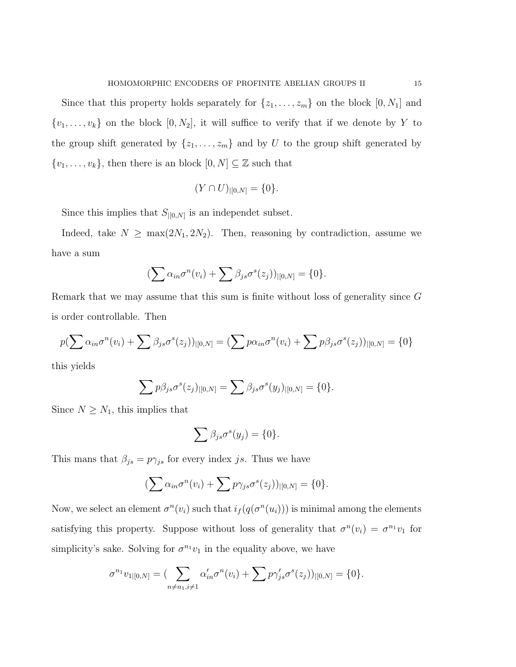Since that this property holds separately for  $\{z_1, \ldots, z_m\}$  on the block  $[0, N_1]$  and  $\{v_1, \ldots, v_k\}$  on the block  $[0, N_2]$ , it will suffice to verify that if we denote by Y to the group shift generated by  $\{z_1, \ldots, z_m\}$  and by U to the group shift generated by  $\{v_1, \ldots, v_k\}$ , then there is an block  $[0, N] \subseteq \mathbb{Z}$  such that

$$
(Y \cap U)_{|[0,N]} = \{0\}.
$$

Since this implies that  $S_{|[0,N]}$  is an independet subset.

Indeed, take  $N \ge \max(2N_1, 2N_2)$ . Then, reasoning by contradiction, assume we have a sum

$$
\left(\sum \alpha_{in} \sigma^n(v_i) + \sum \beta_{js} \sigma^s(z_j)\right)|_{[0,N]} = \{0\}.
$$

Remark that we may assume that this sum is finite without loss of generality since G is order controllable. Then

$$
p(\sum \alpha_{in}\sigma^n(v_i) + \sum \beta_{js}\sigma^s(z_j))_{|[0,N]} = (\sum p\alpha_{in}\sigma^n(v_i) + \sum p\beta_{js}\sigma^s(z_j))_{|[0,N]} = \{0\}
$$

this yields

$$
\sum p\beta_{js}\sigma^s(z_j)|_{[0,N]} = \sum \beta_{js}\sigma^s(y_j)|_{[0,N]} = \{0\}.
$$

Since  $N \geq N_1$ , this implies that

$$
\sum \beta_{js}\sigma^s(y_j)=\{0\}.
$$

This mans that  $\beta_{js} = p\gamma_{js}$  for every index js. Thus we have

$$
\left(\sum \alpha_{in} \sigma^n(v_i) + \sum p \gamma_{js} \sigma^s(z_j)\right)|_{[0,N]} = \{0\}.
$$

Now, we select an element  $\sigma^n(v_i)$  such that  $i_f(q(\sigma^n(u_i)))$  is minimal among the elements satisfying this property. Suppose without loss of generality that  $\sigma^n(v_i) = \sigma^{n_1} v_1$  for simplicity's sake. Solving for  $\sigma^{n_1}v_1$  in the equality above, we have

$$
\sigma^{n_1}v_{1|[0,N]} = \left(\sum_{n \neq n_1, i \neq 1} \alpha'_{in} \sigma^n(v_i) + \sum p \gamma'_{js} \sigma^s(z_j)\right)|[0,N]} = \{0\}.
$$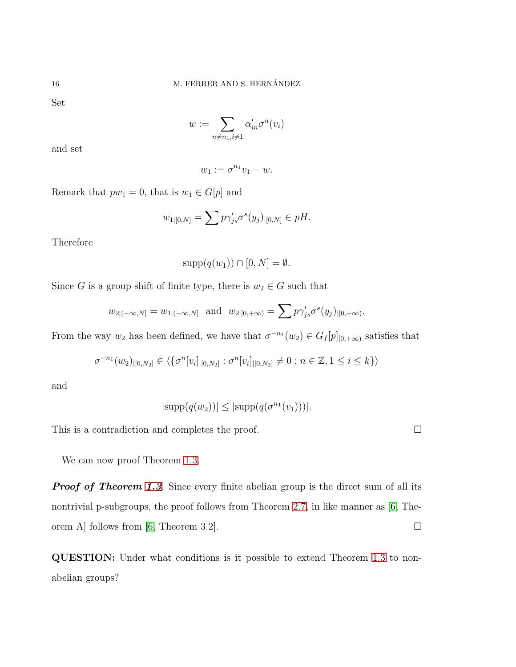Set

 $w := \sum$  $n \neq n_1, i \neq 1$  $\alpha'_{in}\sigma^n(v_i)$ 

and set

$$
w_1:=\sigma^{n_1}v_1-w.
$$

Remark that  $pw_1 = 0$ , that is  $w_1 \in G[p]$  and

$$
w_{1|[0,N]} = \sum p \gamma'_{js} \sigma^s(y_j)_{|[0,N]} \in pH.
$$

Therefore

$$
supp(q(w_1)) \cap [0, N] = \emptyset.
$$

Since G is a group shift of finite type, there is  $w_2 \in G$  such that

$$
w_{2|(-\infty,N]} = w_{1|(-\infty,N]}
$$
 and  $w_{2|[0,+\infty)} = \sum p \gamma'_{js} \sigma^s(y_j)_{|[0,+\infty)}$ .

From the way  $w_2$  has been defined, we have that  $\sigma^{-n_1}(w_2) \in G_f[p]_{[0,+\infty)}$  satisfies that

$$
\sigma^{-n_1}(w_2)_{|[0,N_2]} \in \langle \{\sigma^n[v_i]_{|[0,N_2]} : \sigma^n[v_i]_{|[0,N_2]} \neq 0 : n \in \mathbb{Z}, 1 \leq i \leq k\} \rangle
$$

and

$$
|\text{supp}(q(w_2))| \le |\text{supp}(q(\sigma^{n_1}(v_1)))|.
$$

This is a contradiction and completes the proof.  $\Box$ 

We can now proof Theorem [1.3.](#page-3-1)

**Proof of Theorem [1.3](#page-3-1).** Since every finite abelian group is the direct sum of all its nontrivial p-subgroups, the proof follows from Theorem [2.7,](#page-11-0) in like manner as [\[6,](#page-16-11) The-orem A] follows from [\[6,](#page-16-11) Theorem 3.2].

QUESTION: Under what conditions is it possible to extend Theorem [1.3](#page-3-1) to nonabelian groups?